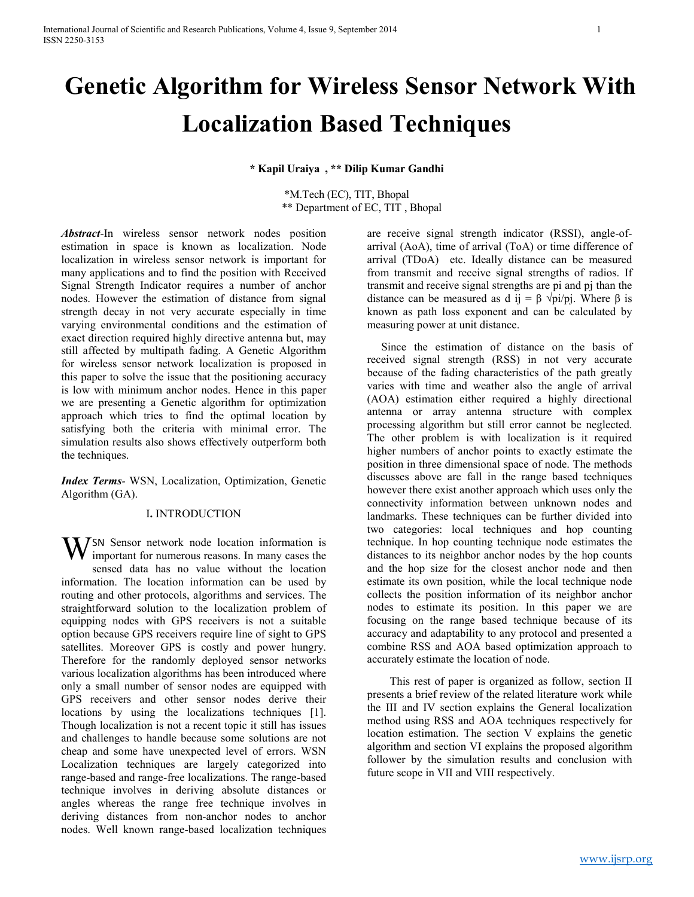# **Genetic Algorithm for Wireless Sensor Network With Localization Based Techniques**

**\* Kapil Uraiya , \*\* Dilip Kumar Gandhi**

\*M.Tech (EC), TIT, Bhopal \*\* Department of EC, TIT , Bhopal

*Abstract*-In wireless sensor network nodes position estimation in space is known as localization. Node localization in wireless sensor network is important for many applications and to find the position with Received Signal Strength Indicator requires a number of anchor nodes. However the estimation of distance from signal strength decay in not very accurate especially in time varying environmental conditions and the estimation of exact direction required highly directive antenna but, may still affected by multipath fading. A Genetic Algorithm for wireless sensor network localization is proposed in this paper to solve the issue that the positioning accuracy is low with minimum anchor nodes. Hence in this paper we are presenting a Genetic algorithm for optimization approach which tries to find the optimal location by satisfying both the criteria with minimal error. The simulation results also shows effectively outperform both the techniques.

*Index Terms-* WSN, Localization, Optimization, Genetic Algorithm (GA).

#### I**.** INTRODUCTION

WSN Sensor network node location information is<br>important for numerous reasons. In many cases the important for numerous reasons. In many cases the sensed data has no value without the location information. The location information can be used by routing and other protocols, algorithms and services. The straightforward solution to the localization problem of equipping nodes with GPS receivers is not a suitable option because GPS receivers require line of sight to GPS satellites. Moreover GPS is costly and power hungry. Therefore for the randomly deployed sensor networks various localization algorithms has been introduced where only a small number of sensor nodes are equipped with GPS receivers and other sensor nodes derive their locations by using the localizations techniques [1]. Though localization is not a recent topic it still has issues and challenges to handle because some solutions are not cheap and some have unexpected level of errors. WSN Localization techniques are largely categorized into range-based and range-free localizations. The range-based technique involves in deriving absolute distances or angles whereas the range free technique involves in deriving distances from non-anchor nodes to anchor nodes. Well known range-based localization techniques

are receive signal strength indicator (RSSI), angle-ofarrival (AoA), time of arrival (ToA) or time difference of arrival (TDoA) etc. Ideally distance can be measured from transmit and receive signal strengths of radios. If transmit and receive signal strengths are pi and pj than the distance can be measured as d ij =  $\beta \sqrt{pi/p}$ . Where  $\beta$  is known as path loss exponent and can be calculated by measuring power at unit distance.

 Since the estimation of distance on the basis of received signal strength (RSS) in not very accurate because of the fading characteristics of the path greatly varies with time and weather also the angle of arrival (AOA) estimation either required a highly directional antenna or array antenna structure with complex processing algorithm but still error cannot be neglected. The other problem is with localization is it required higher numbers of anchor points to exactly estimate the position in three dimensional space of node. The methods discusses above are fall in the range based techniques however there exist another approach which uses only the connectivity information between unknown nodes and landmarks. These techniques can be further divided into two categories: local techniques and hop counting technique. In hop counting technique node estimates the distances to its neighbor anchor nodes by the hop counts and the hop size for the closest anchor node and then estimate its own position, while the local technique node collects the position information of its neighbor anchor nodes to estimate its position. In this paper we are focusing on the range based technique because of its accuracy and adaptability to any protocol and presented a combine RSS and AOA based optimization approach to accurately estimate the location of node.

 This rest of paper is organized as follow, section II presents a brief review of the related literature work while the III and IV section explains the General localization method using RSS and AOA techniques respectively for location estimation. The section V explains the genetic algorithm and section VI explains the proposed algorithm follower by the simulation results and conclusion with future scope in VII and VIII respectively.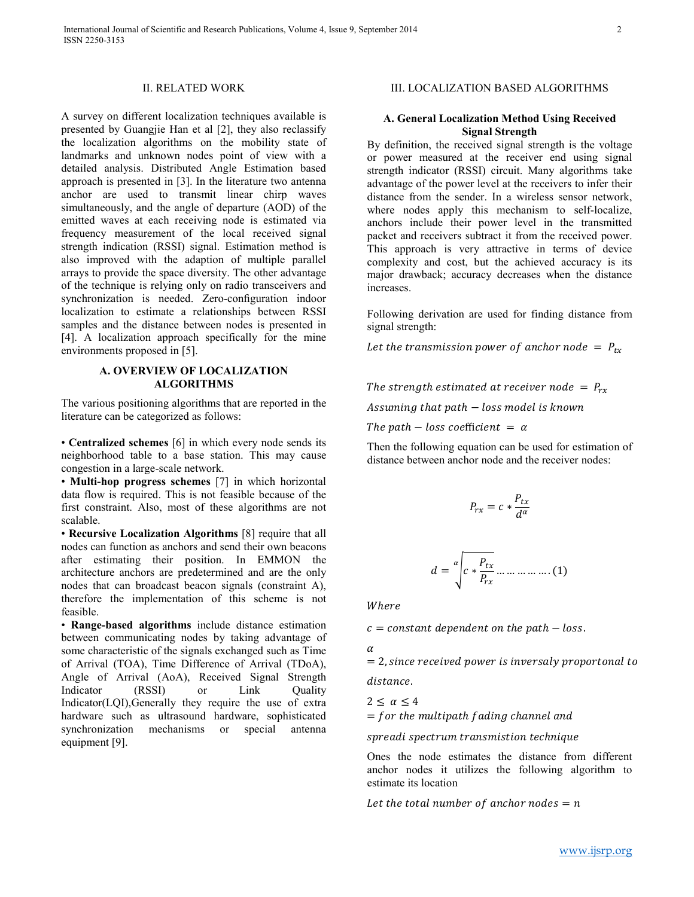## II. RELATED WORK

A survey on different localization techniques available is presented by Guangjie Han et al [2], they also reclassify the localization algorithms on the mobility state of landmarks and unknown nodes point of view with a detailed analysis. Distributed Angle Estimation based approach is presented in [3]. In the literature two antenna anchor are used to transmit linear chirp waves simultaneously, and the angle of departure (AOD) of the emitted waves at each receiving node is estimated via frequency measurement of the local received signal strength indication (RSSI) signal. Estimation method is also improved with the adaption of multiple parallel arrays to provide the space diversity. The other advantage of the technique is relying only on radio transceivers and synchronization is needed. Zero-configuration indoor localization to estimate a relationships between RSSI samples and the distance between nodes is presented in [4]. A localization approach specifically for the mine environments proposed in [5].

## **A. OVERVIEW OF LOCALIZATION ALGORITHMS**

The various positioning algorithms that are reported in the literature can be categorized as follows:

• **Centralized schemes** [6] in which every node sends its neighborhood table to a base station. This may cause congestion in a large-scale network.

• **Multi-hop progress schemes** [7] in which horizontal data flow is required. This is not feasible because of the first constraint. Also, most of these algorithms are not scalable.

• **Recursive Localization Algorithms** [8] require that all nodes can function as anchors and send their own beacons after estimating their position. In EMMON the architecture anchors are predetermined and are the only nodes that can broadcast beacon signals (constraint A), therefore the implementation of this scheme is not feasible.

• **Range-based algorithms** include distance estimation between communicating nodes by taking advantage of some characteristic of the signals exchanged such as Time of Arrival (TOA), Time Difference of Arrival (TDoA), Angle of Arrival (AoA), Received Signal Strength Indicator (RSSI) or Link Quality Indicator(LQI),Generally they require the use of extra hardware such as ultrasound hardware, sophisticated synchronization mechanisms or special antenna equipment [9].

# III. LOCALIZATION BASED ALGORITHMS

## **A. General Localization Method Using Received Signal Strength**

By definition, the received signal strength is the voltage or power measured at the receiver end using signal strength indicator (RSSI) circuit. Many algorithms take advantage of the power level at the receivers to infer their distance from the sender. In a wireless sensor network, where nodes apply this mechanism to self-localize, anchors include their power level in the transmitted packet and receivers subtract it from the received power. This approach is very attractive in terms of device complexity and cost, but the achieved accuracy is its major drawback; accuracy decreases when the distance increases.

Following derivation are used for finding distance from signal strength:

Let the transmission power of anchor node =  $P_{tx}$ 

The strength estimated at receiver node =  $P_{rx}$ Assuming that path − loss model is known

The path – loss coefficient =  $\alpha$ 

Then the following equation can be used for estimation of distance between anchor node and the receiver nodes:

$$
P_{rx}=c*\frac{P_{tx}}{d^{\alpha}}
$$

$$
d = \sqrt[\alpha]{c * \frac{P_{tx}}{P_{rx}} \dots \dots \dots \dots \dots (1)}
$$

Where

 $c = constant$  dependent on the path  $-$  loss.

 $\alpha$ 

 $= 2$ , since received power is inversaly proportonal to distance.

 $2 < \alpha < 4$ 

 $=$  for the multipath fading channel and

spreadi spectrum transmistion technique

Ones the node estimates the distance from different anchor nodes it utilizes the following algorithm to estimate its location

Let the total number of anchor nodes  $= n$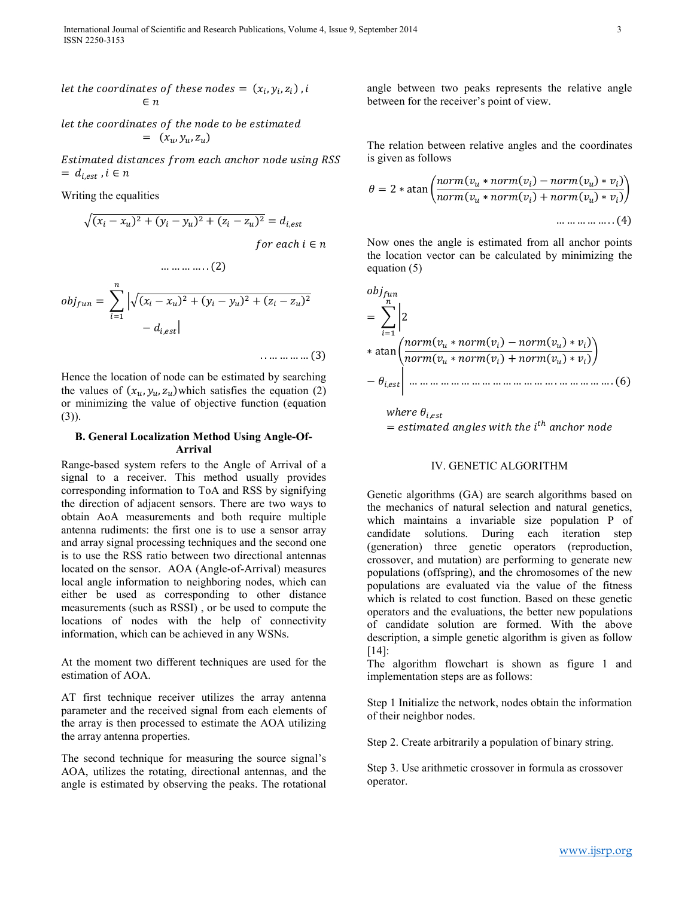let the coordinates of the node to be estimated  $= (x_u, y_u, z_u)$ 

Estimated distances from each anchor node using RSS  $= d_{i,est}$ ,  $i \in n$ 

Writing the equalities

$$
\sqrt{(x_i - x_u)^2 + (y_i - y_u)^2 + (z_i - z_u)^2} = d_{i,est}
$$
  
for each  $i \in n$ 

$$
obj_{fun} = \sum_{i=1}^{n} \left| \sqrt{(x_i - x_u)^2 + (y_i - y_u)^2 + (z_i - z_u)^2} - d_{i,est} \right|
$$

 $\dots \dots \dots \dots (2)$ 

. . … … … … (3)

Hence the location of node can be estimated by searching the values of  $(x_u, y_u, z_u)$  which satisfies the equation (2) or minimizing the value of objective function (equation (3)).

# **B. General Localization Method Using Angle-Of-Arrival**

Range-based system refers to the Angle of Arrival of a signal to a receiver. This method usually provides corresponding information to ToA and RSS by signifying the direction of adjacent sensors. There are two ways to obtain AoA measurements and both require multiple antenna rudiments: the first one is to use a sensor array and array signal processing techniques and the second one is to use the RSS ratio between two directional antennas located on the sensor. AOA (Angle-of-Arrival) measures local angle information to neighboring nodes, which can either be used as corresponding to other distance measurements (such as RSSI) , or be used to compute the locations of nodes with the help of connectivity information, which can be achieved in any WSNs.

At the moment two different techniques are used for the estimation of AOA.

AT first technique receiver utilizes the array antenna parameter and the received signal from each elements of the array is then processed to estimate the AOA utilizing the array antenna properties.

The second technique for measuring the source signal's AOA, utilizes the rotating, directional antennas, and the angle is estimated by observing the peaks. The rotational

angle between two peaks represents the relative angle between for the receiver's point of view.

The relation between relative angles and the coordinates is given as follows

$$
\theta = 2 * \operatorname{atan}\left(\frac{norm(v_u * norm(v_i) - norm(v_u) * v_i)}{norm(v_u * norm(v_i) + norm(v_u) * v_i)}\right)
$$
  
................. (4)

Now ones the angle is estimated from all anchor points the location vector can be calculated by minimizing the equation (5)

 = 2 ∗ atan ( ∗ () − () ∗ ) ( ∗ () + () ∗ ) − , … … … … … … … … … … … … … … . … … … … … . (6)

where 
$$
\theta_{i,est}
$$
  
\n= estimated angles with the  $i^{th}$  anchor node

#### IV. GENETIC ALGORITHM

Genetic algorithms (GA) are search algorithms based on the mechanics of natural selection and natural genetics, which maintains a invariable size population P of candidate solutions. During each iteration step (generation) three genetic operators (reproduction, crossover, and mutation) are performing to generate new populations (offspring), and the chromosomes of the new populations are evaluated via the value of the fitness which is related to cost function. Based on these genetic operators and the evaluations, the better new populations of candidate solution are formed. With the above description, a simple genetic algorithm is given as follow [14]:

The algorithm flowchart is shown as figure 1 and implementation steps are as follows:

Step 1 Initialize the network, nodes obtain the information of their neighbor nodes.

Step 2. Create arbitrarily a population of binary string.

Step 3. Use arithmetic crossover in formula as crossover operator.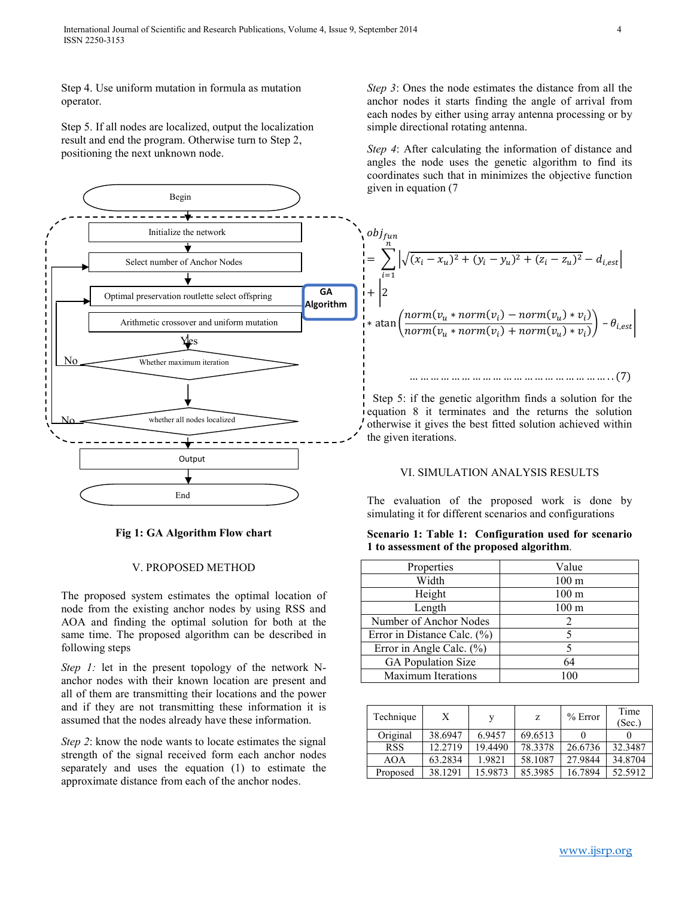Step 4. Use uniform mutation in formula as mutation operator.

Step 5. If all nodes are localized, output the localization result and end the program. Otherwise turn to Step 2, positioning the next unknown node.



## **Fig 1: GA Algorithm Flow chart**

#### V. PROPOSED METHOD

The proposed system estimates the optimal location of node from the existing anchor nodes by using RSS and AOA and finding the optimal solution for both at the same time. The proposed algorithm can be described in following steps

*Step 1:* let in the present topology of the network Nanchor nodes with their known location are present and all of them are transmitting their locations and the power and if they are not transmitting these information it is assumed that the nodes already have these information.

*Step 2*: know the node wants to locate estimates the signal strength of the signal received form each anchor nodes separately and uses the equation (1) to estimate the approximate distance from each of the anchor nodes.

*Step 3*: Ones the node estimates the distance from all the anchor nodes it starts finding the angle of arrival from each nodes by either using array antenna processing or by simple directional rotating antenna.

*Step 4*: After calculating the information of distance and angles the node uses the genetic algorithm to find its coordinates such that in minimizes the objective function given in equation (7

$$
obj_{fun}
$$
\n
$$
= \sum_{i=1}^{n} \left| \sqrt{(x_i - x_u)^2 + (y_i - y_u)^2 + (z_i - z_u)^2} - d_{i,est} \right|
$$
\n
$$
+ \left| 2 \right|
$$
\n
$$
* \operatorname{atan} \left( \frac{norm(v_u * norm(v_i) - norm(v_u) * v_i)}{norm(v_u * norm(v_i) + norm(v_u) * v_i)} \right) - \theta_{i,est}
$$

… … … … … … … … … … … … … … … … … … … . . (7)

Step 5: if the genetic algorithm finds a solution for the equation 8 it terminates and the returns the solution otherwise it gives the best fitted solution achieved within the given iterations.

### VI. SIMULATION ANALYSIS RESULTS

The evaluation of the proposed work is done by simulating it for different scenarios and configurations

**Scenario 1: Table 1: Configuration used for scenario 1 to assessment of the proposed algorithm**.

| Properties                      | Value            |
|---------------------------------|------------------|
| Width                           | 100 <sub>m</sub> |
| Height                          | 100 <sub>m</sub> |
| Length                          | 100 <sub>m</sub> |
| Number of Anchor Nodes          | 2                |
| Error in Distance Calc. $(\% )$ | 5                |
| Error in Angle Calc. (%)        |                  |
| <b>GA Population Size</b>       | 64               |
| <b>Maximum Iterations</b>       | 100              |

| Technique  | Х       |         | z       | $%$ Error | Time<br>(Sec.) |
|------------|---------|---------|---------|-----------|----------------|
| Original   | 38.6947 | 6.9457  | 69.6513 |           |                |
| <b>RSS</b> | 12.2719 | 19.4490 | 78.3378 | 26.6736   | 32.3487        |
| <b>AOA</b> | 63.2834 | 1.9821  | 58.1087 | 27.9844   | 34.8704        |
| Proposed   | 38.1291 | 15.9873 | 85.3985 | 16.7894   | 52.5912        |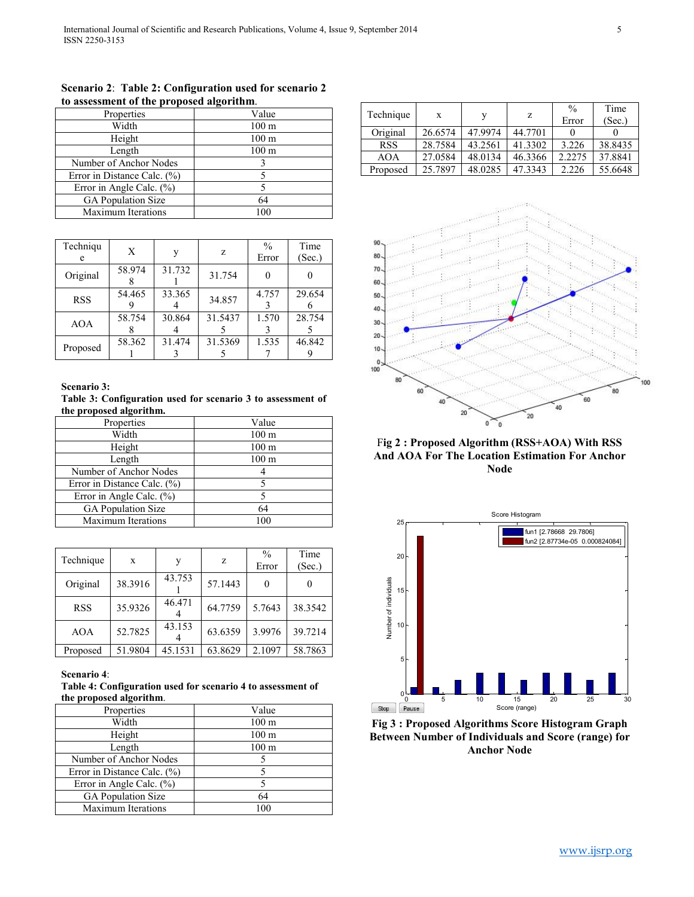| Properties                      | Value            |
|---------------------------------|------------------|
| Width                           | 100 <sub>m</sub> |
| Height                          | $100 \text{ m}$  |
| Length                          | $100 \text{ m}$  |
| Number of Anchor Nodes          |                  |
| Error in Distance Calc. $(\% )$ |                  |
| Error in Angle Calc. (%)        |                  |
| <b>GA</b> Population Size       | 64               |
| <b>Maximum Iterations</b>       | 100              |

**Scenario 2**: **Table 2: Configuration used for scenario 2 to assessment of the proposed algorithm**.

| Techniqu<br>e | X      | v      | z       | $\frac{0}{0}$<br>Error | Time<br>(Sec.) |
|---------------|--------|--------|---------|------------------------|----------------|
| Original      | 58.974 | 31.732 | 31.754  |                        |                |
| <b>RSS</b>    | 54.465 | 33.365 | 34.857  | 4.757                  | 29.654         |
| <b>AOA</b>    | 58.754 | 30.864 | 31.5437 | 1.570                  | 28.754         |
| Proposed      | 58.362 | 31.474 | 31.5369 | 1.535                  | 46.842         |

**Scenario 3:**

**Table 3: Configuration used for scenario 3 to assessment of the proposed algorithm.**

| Properties                  | Value            |
|-----------------------------|------------------|
| Width                       | 100 <sub>m</sub> |
| Height                      | 100 <sub>m</sub> |
| Length                      | $100 \text{ m}$  |
| Number of Anchor Nodes      |                  |
| Error in Distance Calc. (%) |                  |
| Error in Angle Calc. (%)    |                  |
| <b>GA</b> Population Size   | 64               |
| <b>Maximum Iterations</b>   | 100              |

| Technique  | X       | v       | z       | $\frac{0}{0}$ | Time    |
|------------|---------|---------|---------|---------------|---------|
|            |         |         |         | Error         | (Sec.)  |
| Original   | 38.3916 | 43.753  | 57.1443 |               |         |
| <b>RSS</b> | 35.9326 | 46.471  | 64.7759 | 5.7643        | 38.3542 |
| AOA        | 52.7825 | 43.153  | 63.6359 | 3.9976        | 39.7214 |
| Proposed   | 51.9804 | 45.1531 | 63.8629 | 2.1097        | 58.7863 |

# **Scenario 4**:

**Table 4: Configuration used for scenario 4 to assessment of the proposed algorithm**.

| Properties                   | Value           |
|------------------------------|-----------------|
| Width                        | $100 \text{ m}$ |
| Height                       | $100 \text{ m}$ |
| Length                       | $100 \text{ m}$ |
| Number of Anchor Nodes       |                 |
| Error in Distance Calc. (%)  |                 |
| Error in Angle Calc. $(\% )$ |                 |
| <b>GA</b> Population Size    | 64              |
| <b>Maximum Iterations</b>    | 100             |

| Technique  | X       |         | z       | $\frac{0}{0}$<br>Error | Time<br>(Sec.) |
|------------|---------|---------|---------|------------------------|----------------|
| Original   | 26.6574 | 47.9974 | 44.7701 |                        |                |
| <b>RSS</b> | 28.7584 | 43.2561 | 41.3302 | 3.226                  | 38.8435        |
| AOA        | 27.0584 | 48.0134 | 46.3366 | 2.2275                 | 37.8841        |
| Proposed   | 25.7897 | 48.0285 | 47.3343 | 2.226                  | 55.6648        |



F**ig 2 : Proposed Algorithm (RSS+AOA) With RSS And AOA For The Location Estimation For Anchor Node**